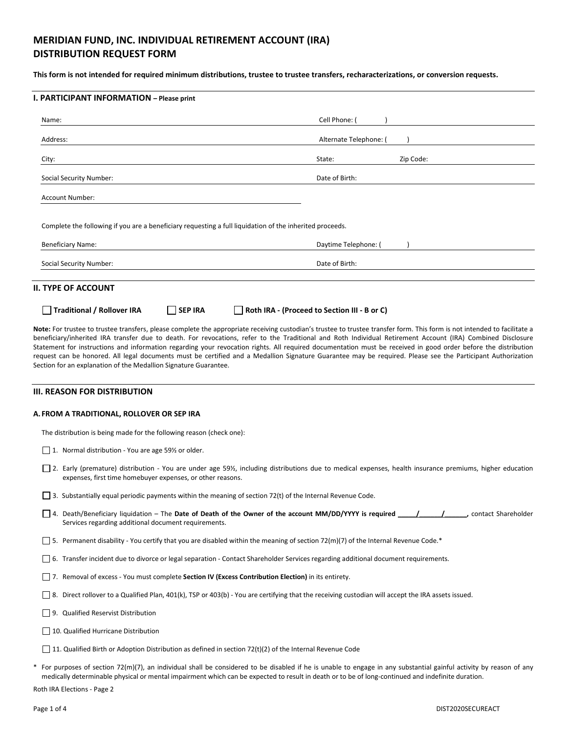# **MERIDIAN FUND, INC. INDIVIDUAL RETIREMENT ACCOUNT (IRA) DISTRIBUTION REQUEST FORM**

**This form is not intended for required minimum distributions, trustee to trustee transfers, recharacterizations, or conversion requests.** 

| Name:                                                                                                    | Cell Phone: (          |
|----------------------------------------------------------------------------------------------------------|------------------------|
| Address:                                                                                                 | Alternate Telephone: ( |
| City:                                                                                                    | Zip Code:<br>State:    |
| Social Security Number:                                                                                  | Date of Birth:         |
| <b>Account Number:</b>                                                                                   |                        |
| Complete the following if you are a beneficiary requesting a full liquidation of the inherited proceeds. |                        |
| <b>Beneficiary Name:</b>                                                                                 | Daytime Telephone: (   |
| Social Security Number:                                                                                  | Date of Birth:         |

**III. REASON FOR DISTRIBUTION** 

### **A. FROM A TRADITIONAL, ROLLOVER OR SEP IRA**

Section for an explanation of the Medallion Signature Guarantee.

The distribution is being made for the following reason (check one):

- $\Box$  1. Normal distribution You are age 59% or older.
- □ 2. Early (premature) distribution You are under age 59½, including distributions due to medical expenses, health insurance premiums, higher education expenses, first time homebuyer expenses, or other reasons.

request can be honored. All legal documents must be certified and a Medallion Signature Guarantee may be required. Please see the Participant Authorization

- 3. Substantially equal periodic payments within the meaning of section 72(t) of the Internal Revenue Code.
- 4. Death/Beneficiary liquidation The Date of Death of the Owner of the account MM/DD/YYYY is required \_\_\_\_\_/\_\_\_\_\_\_\_\_\_\_\_, contact Shareholder Services regarding additional document requirements.
- $\Box$  5. Permanent disability You certify that you are disabled within the meaning of section 72(m)(7) of the Internal Revenue Code.\*
- 6. Transfer incident due to divorce or legal separation Contact Shareholder Services regarding additional document requirements.
- 7. Removal of excess You must complete **Section IV (Excess Contribution Election)** in its entirety.
- $\square$  8. Direct rollover to a Qualified Plan, 401(k), TSP or 403(b) You are certifying that the receiving custodian will accept the IRA assets issued.
- 9. Qualified Reservist Distribution
- 10. Qualified Hurricane Distribution
- 11. Qualified Birth or Adoption Distribution as defined in section 72(t)(2) of the Internal Revenue Code
- For purposes of section 72(m)(7), an individual shall be considered to be disabled if he is unable to engage in any substantial gainful activity by reason of any medically determinable physical or mental impairment which can be expected to result in death or to be of long-continued and indefinite duration.

Roth IRA Elections - Page 2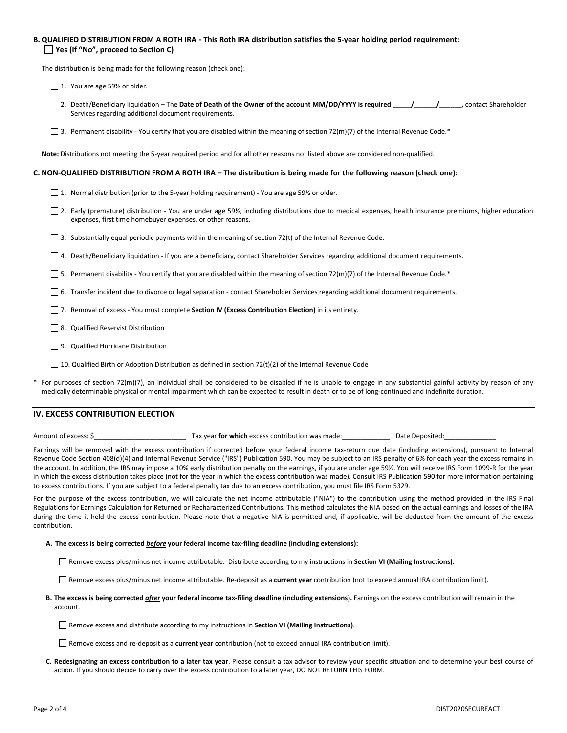## **B. QUALIFIED DISTRIBUTION FROM A ROTH IRA - This Roth IRA distribution satisfies the 5-year holding period requirement: Yes (If "No", proceed to Section C)**

The distribution is being made for the following reason (check one):

 $\Box$  1. You are age 59% or older.

- 2. Death/Beneficiary liquidation The **Date of Death of the Owner of the account MM/DD/YYYY is required \_\_\_\_\_/\_\_\_\_\_\_/\_\_\_\_\_\_,** contact Shareholder Services regarding additional document requirements.
- 3. Permanent disability You certify that you are disabled within the meaning of section 72(m)(7) of the Internal Revenue Code.\*

**Note:** Distributions not meeting the 5-year required period and for all other reasons not listed above are considered non-qualified.

### **C. NON-QUALIFIED DISTRIBUTION FROM A ROTH IRA – The distribution is being made for the following reason (check one):**

- □ 1. Normal distribution (prior to the 5-year holding requirement) You are age 59½ or older.
- 2. Early (premature) distribution You are under age 59½, including distributions due to medical expenses, health insurance premiums, higher education expenses, first time homebuyer expenses, or other reasons.
- 3. Substantially equal periodic payments within the meaning of section 72(t) of the Internal Revenue Code.
- 4. Death/Beneficiary liquidation If you are a beneficiary, contact Shareholder Services regarding additional document requirements.
- $\Box$  5. Permanent disability You certify that you are disabled within the meaning of section 72(m)(7) of the Internal Revenue Code.\*
- 6. Transfer incident due to divorce or legal separation contact Shareholder Services regarding additional document requirements.
- 7. Removal of excess You must complete **Section IV (Excess Contribution Election)** in its entirety.
- 8. Qualified Reservist Distribution
- 9. Qualified Hurricane Distribution
- 10. Qualified Birth or Adoption Distribution as defined in section 72(t)(2) of the Internal Revenue Code
- For purposes of section 72(m)(7), an individual shall be considered to be disabled if he is unable to engage in any substantial gainful activity by reason of any medically determinable physical or mental impairment which can be expected to result in death or to be of long-continued and indefinite duration.

## **IV. EXCESS CONTRIBUTION ELECTION**

Amount of excess: \$\_\_\_\_\_\_\_\_\_\_\_\_\_\_\_\_\_\_\_\_\_\_\_\_\_ Tax year **for which** excess contribution was made:\_\_\_\_\_\_\_\_\_\_\_\_\_ Date Deposited:\_\_\_\_\_\_\_\_\_\_\_\_\_\_

Earnings will be removed with the excess contribution if corrected before your federal income tax-return due date (including extensions), pursuant to Internal Revenue Code Section 408(d)(4) and Internal Revenue Service ("IRS") Publication 590. You may be subject to an IRS penalty of 6% for each year the excess remains in the account. In addition, the IRS may impose a 10% early distribution penalty on the earnings, if you are under age 59½. You will receive IRS Form 1099-R for the year in which the excess distribution takes place (not for the year in which the excess contribution was made). Consult IRS Publication 590 for more information pertaining to excess contributions. If you are subject to a federal penalty tax due to an excess contribution, you must file IRS Form 5329.

For the purpose of the excess contribution, we will calculate the net income attributable ("NIA") to the contribution using the method provided in the IRS Final Regulations for Earnings Calculation for Returned or Recharacterized Contributions*.* This method calculates the NIA based on the actual earnings and losses of the IRA during the time it held the excess contribution. Please note that a negative NIA is permitted and, if applicable, will be deducted from the amount of the excess contribution.

### **A. The excess is being corrected** *before* **your federal income tax-filing deadline (including extensions):**

Remove excess plus/minus net income attributable. Distribute according to my instructions in **Section VI (Mailing Instructions)**.

Remove excess plus/minus net income attributable. Re-deposit as a **current year** contribution (not to exceed annual IRA contribution limit).

- **B. The excess is being corrected** *after* **your federal income tax-filing deadline (including extensions).** Earnings on the excess contribution will remain in the account.
	- Remove excess and distribute according to my instructions in **Section VI (Mailing Instructions)**.
	- Remove excess and re-deposit as a **current year** contribution (not to exceed annual IRA contribution limit).
- **C. Redesignating an excess contribution to a later tax year**. Please consult a tax advisor to review your specific situation and to determine your best course of action. If you should decide to carry over the excess contribution to a later year, DO NOT RETURN THIS FORM.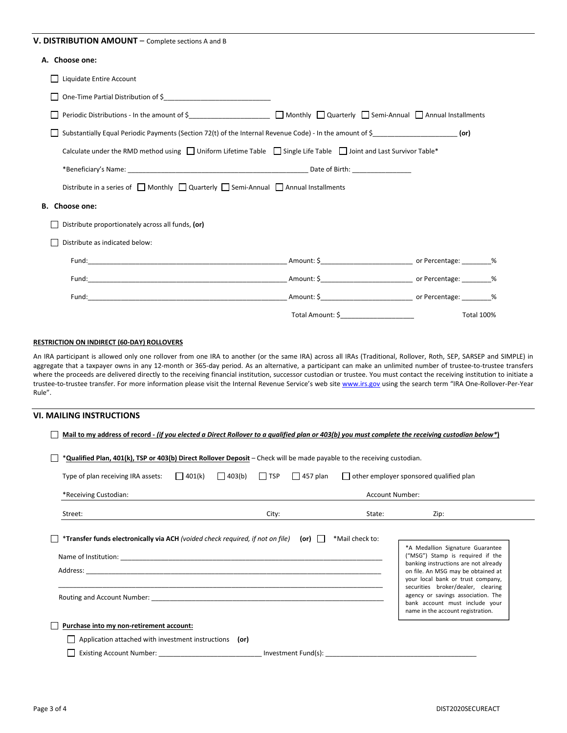## V. DISTRIBUTION AMOUNT – Complete sections A and B

# **A. Choose one:**

| A. CHUUSE UHE.                                                                                                                              |                                                             |                   |
|---------------------------------------------------------------------------------------------------------------------------------------------|-------------------------------------------------------------|-------------------|
| Liquidate Entire Account                                                                                                                    |                                                             |                   |
| $\mathbf{L}$                                                                                                                                |                                                             |                   |
|                                                                                                                                             |                                                             |                   |
| Substantially Equal Periodic Payments (Section 72(t) of the Internal Revenue Code) - In the amount of $\zeta$ _________________________(or) |                                                             |                   |
| Calculate under the RMD method using $\Box$ Uniform Lifetime Table $\Box$ Single Life Table $\Box$ Joint and Last Survivor Table*           |                                                             |                   |
|                                                                                                                                             |                                                             |                   |
| Distribute in a series of $\Box$ Monthly $\Box$ Quarterly $\Box$ Semi-Annual $\Box$ Annual Installments                                     |                                                             |                   |
| B. Choose one:                                                                                                                              |                                                             |                   |
| Distribute proportionately across all funds, (or)                                                                                           |                                                             |                   |
| Distribute as indicated below:                                                                                                              |                                                             |                   |
|                                                                                                                                             |                                                             |                   |
|                                                                                                                                             |                                                             |                   |
|                                                                                                                                             |                                                             |                   |
|                                                                                                                                             | Total Amount: \$<br><u> 1990 - Johann Barbara, martxa a</u> | <b>Total 100%</b> |

## **RESTRICTION ON INDIRECT (60-DAY) ROLLOVERS**

An IRA participant is allowed only one rollover from one IRA to another (or the same IRA) across all IRAs (Traditional, Rollover, Roth, SEP, SARSEP and SIMPLE) in aggregate that a taxpayer owns in any 12-month or 365-day period. As an alternative, a participant can make an unlimited number of trustee-to-trustee transfers where the proceeds are delivered directly to the receiving financial institution, successor custodian or trustee. You must contact the receiving institution to initiate a trustee-to-trustee transfer. For more information please visit the Internal Revenue Service's web site www.irs.gov using the search term "IRA One-Rollover-Per-Year Rule".

|                                                                                |                                                                                              |       |        | *Qualified Plan, 401(k), TSP or 403(b) Direct Rollover Deposit - Check will be made payable to the receiving custodian. |                                                                                                                                                                                                                               |
|--------------------------------------------------------------------------------|----------------------------------------------------------------------------------------------|-------|--------|-------------------------------------------------------------------------------------------------------------------------|-------------------------------------------------------------------------------------------------------------------------------------------------------------------------------------------------------------------------------|
| Type of plan receiving IRA assets: $\Box$ 401(k)                               | 403(b)<br>$\blacksquare$ TSP<br>$\sqrt{457}$ plan<br>other employer sponsored qualified plan |       |        |                                                                                                                         |                                                                                                                                                                                                                               |
| *Receiving Custodian:                                                          | <b>Account Number:</b>                                                                       |       |        |                                                                                                                         |                                                                                                                                                                                                                               |
| Street:                                                                        |                                                                                              | City: |        | State:                                                                                                                  | Zip:                                                                                                                                                                                                                          |
| *Transfer funds electronically via ACH (voided check required, if not on file) |                                                                                              |       | $(or)$ | *Mail check to:                                                                                                         |                                                                                                                                                                                                                               |
|                                                                                |                                                                                              |       |        |                                                                                                                         | *A Medallion Signature Guarantee<br>("MSG") Stamp is required if the<br>banking instructions are not already<br>on file. An MSG may be obtained at<br>your local bank or trust company,<br>securities broker/dealer, clearing |